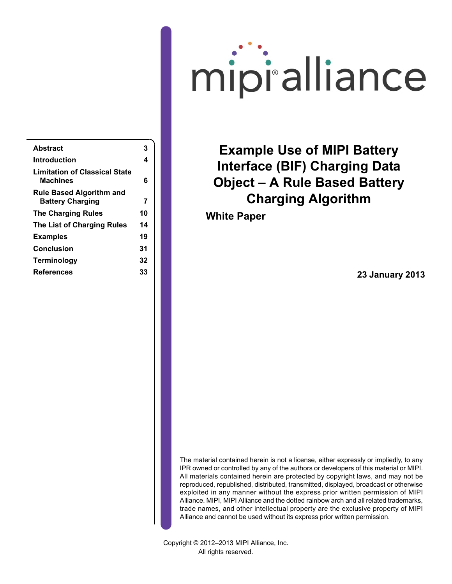# mipi'alliance

| Abstract                                                   | 3  |
|------------------------------------------------------------|----|
| Introduction                                               | 4  |
| <b>Limitation of Classical State</b><br>Machines           | 6  |
| <b>Rule Based Algorithm and</b><br><b>Battery Charging</b> | 7  |
| <b>The Charging Rules</b>                                  | 10 |
| <b>The List of Charging Rules</b>                          | 14 |
| <b>Examples</b>                                            | 19 |
| Conclusion                                                 | 31 |
| Terminology                                                | 32 |
| References                                                 | 33 |
|                                                            |    |

**Example Use of MIPI Battery Interface (BIF) Charging Data Object – A Rule Based Battery Charging Algorithm**

**White Paper**

**23 January 2013**

The material contained herein is not a license, either expressly or impliedly, to any IPR owned or controlled by any of the authors or developers of this material or MIPI. All materials contained herein are protected by copyright laws, and may not be reproduced, republished, distributed, transmitted, displayed, broadcast or otherwise exploited in any manner without the express prior written permission of MIPI Alliance. MIPI, MIPI Alliance and the dotted rainbow arch and all related trademarks, trade names, and other intellectual property are the exclusive property of MIPI Alliance and cannot be used without its express prior written permission.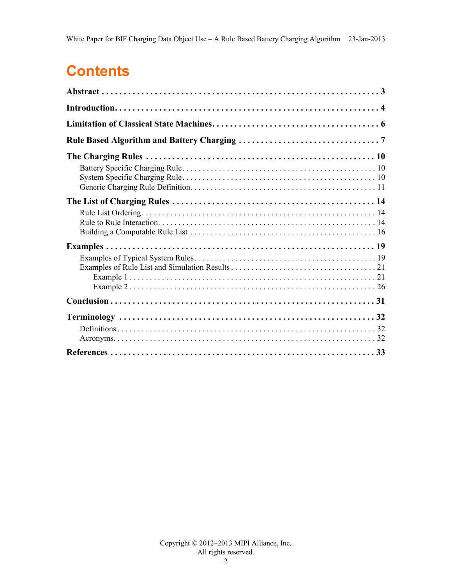# **Contents**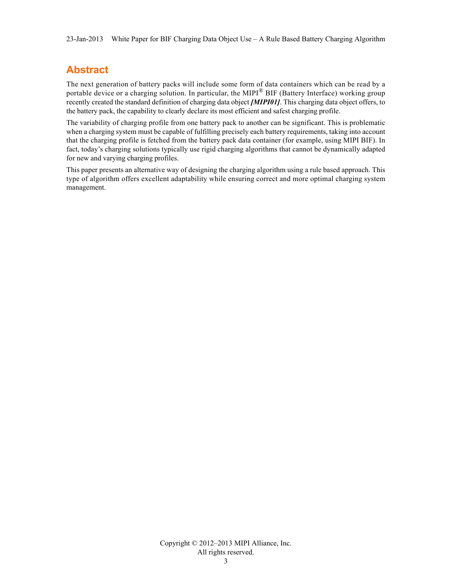## <span id="page-2-0"></span>**Abstract**

The next generation of battery packs will include some form of data containers which can be read by a portable device or a charging solution. In particular, the MIPI $^{\circledR}$  BIF (Battery Interface) working group recently created the standard definition of charging data object *[\[MIPI01\]](#page-32-1)*. This charging data object offers, to the battery pack, the capability to clearly declare its most efficient and safest charging profile.

The variability of charging profile from one battery pack to another can be significant. This is problematic when a charging system must be capable of fulfilling precisely each battery requirements, taking into account that the charging profile is fetched from the battery pack data container (for example, using MIPI BIF). In fact, today's charging solutions typically use rigid charging algorithms that cannot be dynamically adapted for new and varying charging profiles.

This paper presents an alternative way of designing the charging algorithm using a rule based approach. This type of algorithm offers excellent adaptability while ensuring correct and more optimal charging system management.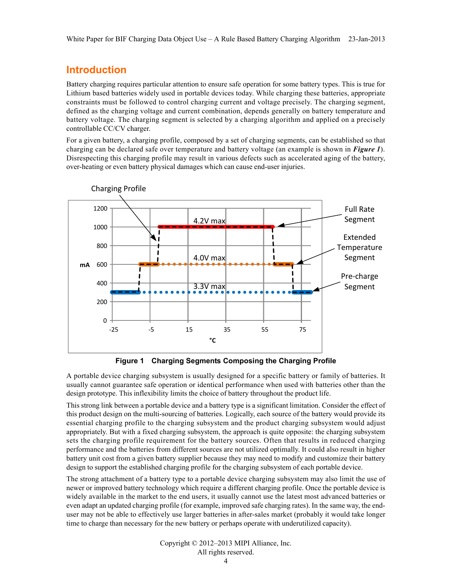## <span id="page-3-0"></span>**Introduction**

Battery charging requires particular attention to ensure safe operation for some battery types. This is true for Lithium based batteries widely used in portable devices today. While charging these batteries, appropriate constraints must be followed to control charging current and voltage precisely. The charging segment, defined as the charging voltage and current combination, depends generally on battery temperature and battery voltage. The charging segment is selected by a charging algorithm and applied on a precisely controllable CC/CV charger.

For a given battery, a charging profile, composed by a set of charging segments, can be established so that charging can be declared safe over temperature and battery voltage (an example is shown in *[Figure 1](#page-3-1)*). Disrespecting this charging profile may result in various defects such as accelerated aging of the battery, over-heating or even battery physical damages which can cause end-user injuries.



<span id="page-3-2"></span>**Figure 1 Charging Segments Composing the Charging Profile**

<span id="page-3-1"></span>A portable device charging subsystem is usually designed for a specific battery or family of batteries. It usually cannot guarantee safe operation or identical performance when used with batteries other than the design prototype. This inflexibility limits the choice of battery throughout the product life.

This strong link between a portable device and a battery type is a significant limitation. Consider the effect of this product design on the multi-sourcing of batteries. Logically, each source of the battery would provide its essential charging profile to the charging subsystem and the product charging subsystem would adjust appropriately. But with a fixed charging subsystem, the approach is quite opposite: the charging subsystem sets the charging profile requirement for the battery sources. Often that results in reduced charging performance and the batteries from different sources are not utilized optimally. It could also result in higher battery unit cost from a given battery supplier because they may need to modify and customize their battery design to support the established charging profile for the charging subsystem of each portable device.

The strong attachment of a battery type to a portable device charging subsystem may also limit the use of newer or improved battery technology which require a different charging profile. Once the portable device is widely available in the market to the end users, it usually cannot use the latest most advanced batteries or even adapt an updated charging profile (for example, improved safe charging rates). In the same way, the enduser may not be able to effectively use larger batteries in after-sales market (probably it would take longer time to charge than necessary for the new battery or perhaps operate with underutilized capacity).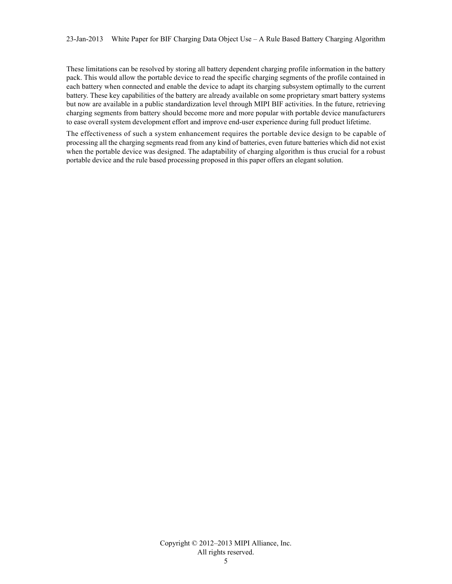These limitations can be resolved by storing all battery dependent charging profile information in the battery pack. This would allow the portable device to read the specific charging segments of the profile contained in each battery when connected and enable the device to adapt its charging subsystem optimally to the current battery. These key capabilities of the battery are already available on some proprietary smart battery systems but now are available in a public standardization level through MIPI BIF activities. In the future, retrieving charging segments from battery should become more and more popular with portable device manufacturers to ease overall system development effort and improve end-user experience during full product lifetime.

The effectiveness of such a system enhancement requires the portable device design to be capable of processing all the charging segments read from any kind of batteries, even future batteries which did not exist when the portable device was designed. The adaptability of charging algorithm is thus crucial for a robust portable device and the rule based processing proposed in this paper offers an elegant solution.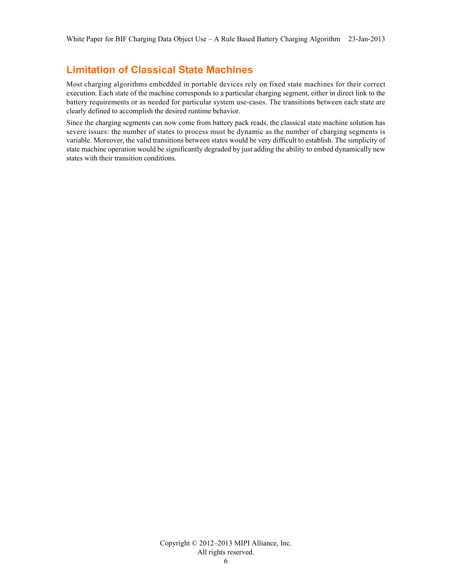## <span id="page-5-0"></span>**Limitation of Classical State Machines**

Most charging algorithms embedded in portable devices rely on fixed state machines for their correct execution. Each state of the machine corresponds to a particular charging segment, either in direct link to the battery requirements or as needed for particular system use-cases. The transitions between each state are clearly defined to accomplish the desired runtime behavior.

Since the charging segments can now come from battery pack reads, the classical state machine solution has severe issues: the number of states to process must be dynamic as the number of charging segments is variable. Moreover, the valid transitions between states would be very difficult to establish. The simplicity of state machine operation would be significantly degraded by just adding the ability to embed dynamically new states with their transition conditions.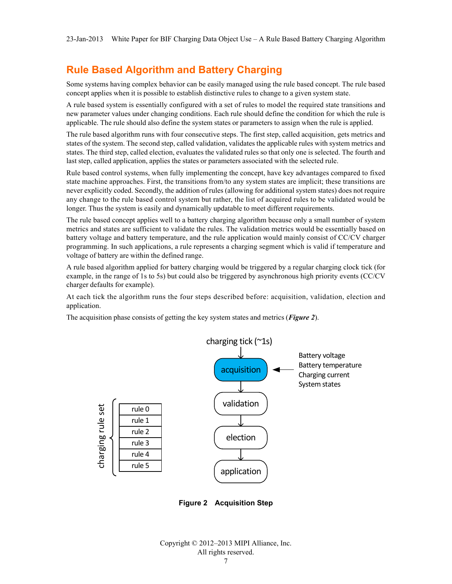## <span id="page-6-0"></span>**Rule Based Algorithm and Battery Charging**

Some systems having complex behavior can be easily managed using the rule based concept. The rule based concept applies when it is possible to establish distinctive rules to change to a given system state.

A rule based system is essentially configured with a set of rules to model the required state transitions and new parameter values under changing conditions. Each rule should define the condition for which the rule is applicable. The rule should also define the system states or parameters to assign when the rule is applied.

The rule based algorithm runs with four consecutive steps. The first step, called acquisition, gets metrics and states of the system. The second step, called validation, validates the applicable rules with system metrics and states. The third step, called election, evaluates the validated rules so that only one is selected. The fourth and last step, called application, applies the states or parameters associated with the selected rule.

Rule based control systems, when fully implementing the concept, have key advantages compared to fixed state machine approaches. First, the transitions from/to any system states are implicit; these transitions are never explicitly coded. Secondly, the addition of rules (allowing for additional system states) does not require any change to the rule based control system but rather, the list of acquired rules to be validated would be longer. Thus the system is easily and dynamically updatable to meet different requirements.

The rule based concept applies well to a battery charging algorithm because only a small number of system metrics and states are sufficient to validate the rules. The validation metrics would be essentially based on battery voltage and battery temperature, and the rule application would mainly consist of CC/CV charger programming. In such applications, a rule represents a charging segment which is valid if temperature and voltage of battery are within the defined range.

A rule based algorithm applied for battery charging would be triggered by a regular charging clock tick (for example, in the range of 1s to 5s) but could also be triggered by asynchronous high priority events (CC/CV charger defaults for example).

At each tick the algorithm runs the four steps described before: acquisition, validation, election and application.

The acquisition phase consists of getting the key system states and metrics (*[Figure 2](#page-6-1)*).



<span id="page-6-1"></span>**Figure 2 Acquisition Step**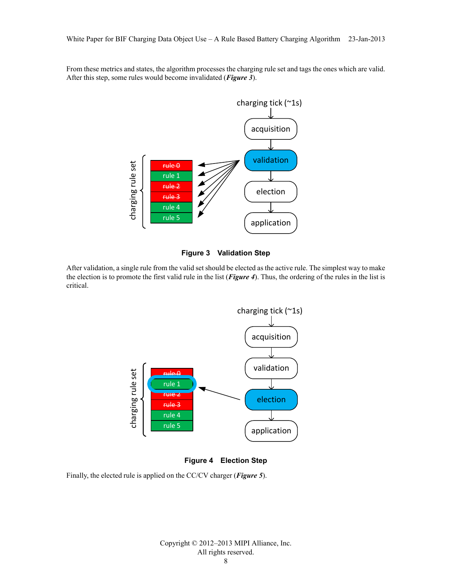From these metrics and states, the algorithm processes the charging rule set and tags the ones which are valid. After this step, some rules would become invalidated (*[Figure 3](#page-7-0)*).





<span id="page-7-0"></span>After validation, a single rule from the valid set should be elected as the active rule. The simplest way to make the election is to promote the first valid rule in the list (*[Figure 4](#page-7-1)*). Thus, the ordering of the rules in the list is critical.





<span id="page-7-1"></span>Finally, the elected rule is applied on the CC/CV charger (*[Figure 5](#page-8-0)*).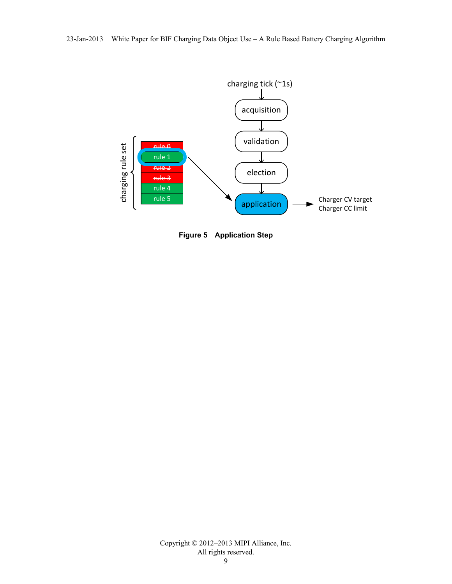23-Jan-2013 White Paper for BIF Charging Data Object Use – A Rule Based Battery Charging Algorithm



<span id="page-8-0"></span>**Figure 5 Application Step**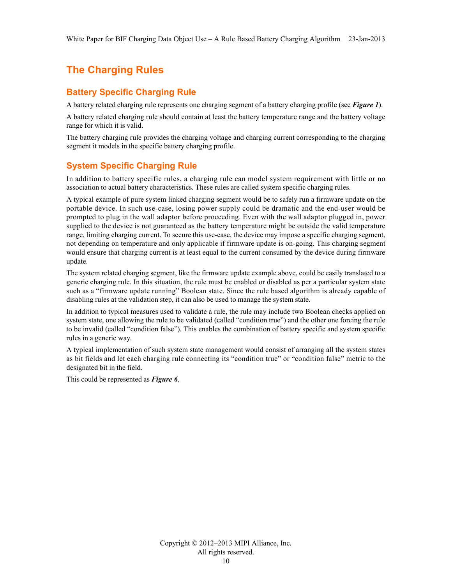## <span id="page-9-0"></span>**The Charging Rules**

#### <span id="page-9-1"></span>**Battery Specific Charging Rule**

A battery related charging rule represents one charging segment of a battery charging profile (see *[Figure 1](#page-3-1)*).

A battery related charging rule should contain at least the battery temperature range and the battery voltage range for which it is valid.

The battery charging rule provides the charging voltage and charging current corresponding to the charging segment it models in the specific battery charging profile.

#### <span id="page-9-2"></span>**System Specific Charging Rule**

In addition to battery specific rules, a charging rule can model system requirement with little or no association to actual battery characteristics. These rules are called system specific charging rules.

A typical example of pure system linked charging segment would be to safely run a firmware update on the portable device. In such use-case, losing power supply could be dramatic and the end-user would be prompted to plug in the wall adaptor before proceeding. Even with the wall adaptor plugged in, power supplied to the device is not guaranteed as the battery temperature might be outside the valid temperature range, limiting charging current. To secure this use-case, the device may impose a specific charging segment, not depending on temperature and only applicable if firmware update is on-going. This charging segment would ensure that charging current is at least equal to the current consumed by the device during firmware update.

The system related charging segment, like the firmware update example above, could be easily translated to a generic charging rule. In this situation, the rule must be enabled or disabled as per a particular system state such as a "firmware update running" Boolean state. Since the rule based algorithm is already capable of disabling rules at the validation step, it can also be used to manage the system state.

In addition to typical measures used to validate a rule, the rule may include two Boolean checks applied on system state, one allowing the rule to be validated (called "condition true") and the other one forcing the rule to be invalid (called "condition false"). This enables the combination of battery specific and system specific rules in a generic way.

A typical implementation of such system state management would consist of arranging all the system states as bit fields and let each charging rule connecting its "condition true" or "condition false" metric to the designated bit in the field.

This could be represented as *[Figure 6](#page-10-1)*.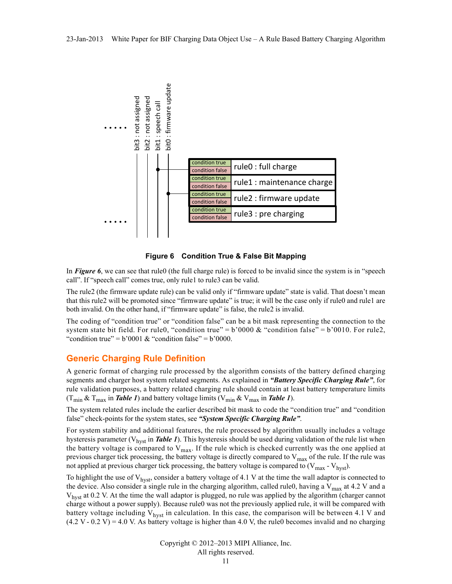



<span id="page-10-1"></span>In *[Figure 6](#page-10-1)*, we can see that rule0 (the full charge rule) is forced to be invalid since the system is in "speech call". If "speech call" comes true, only rule1 to rule3 can be valid.

The rule2 (the firmware update rule) can be valid only if "firmware update" state is valid. That doesn't mean that this rule2 will be promoted since "firmware update" is true; it will be the case only if rule0 and rule1 are both invalid. On the other hand, if "firmware update" is false, the rule2 is invalid.

The coding of "condition true" or "condition false" can be a bit mask representing the connection to the system state bit field. For rule0, "condition true" =  $b'0000 \&$  "condition false" =  $b'0010$ . For rule2, "condition true" =  $b'0001 \&$  "condition false" =  $b'0000$ .

#### <span id="page-10-0"></span>**Generic Charging Rule Definition**

A generic format of charging rule processed by the algorithm consists of the battery defined charging segments and charger host system related segments. As explained in *["Battery Specific Charging Rule"](#page-9-1)*, for rule validation purposes, a battery related charging rule should contain at least battery temperature limits  $(T_{\text{min}} \& T_{\text{max}}$  in *[Table 1](#page-11-0)*) and battery voltage limits ( $V_{\text{min}} \& V_{\text{max}}$  in *Table 1*).

The system related rules include the earlier described bit mask to code the "condition true" and "condition false" check-points for the system states, see *["System Specific Charging Rule"](#page-9-2)*.

For system stability and additional features, the rule processed by algorithm usually includes a voltage hysteresis parameter (V<sub>hyst</sub> in *[Table 1](#page-11-0)*). This hysteresis should be used during validation of the rule list when the battery voltage is compared to  $V_{max}$ . If the rule which is checked currently was the one applied at previous charger tick processing, the battery voltage is directly compared to  $V_{max}$  of the rule. If the rule was not applied at previous charger tick processing, the battery voltage is compared to  $(V_{max} - V_{hyst})$ .

To highlight the use of  $V_{\text{hyst}}$ , consider a battery voltage of 4.1 V at the time the wall adaptor is connected to the device. Also consider a single rule in the charging algorithm, called rule0, having a  $V_{\text{max}}$  at 4.2 V and a V<sub>hyst</sub> at 0.2 V. At the time the wall adaptor is plugged, no rule was applied by the algorithm (charger cannot charge without a power supply). Because rule0 was not the previously applied rule, it will be compared with battery voltage including  $V_{hyst}$  in calculation. In this case, the comparison will be between 4.1 V and (4.2 V - 0.2 V) = 4.0 V. As battery voltage is higher than 4.0 V, the rule0 becomes invalid and no charging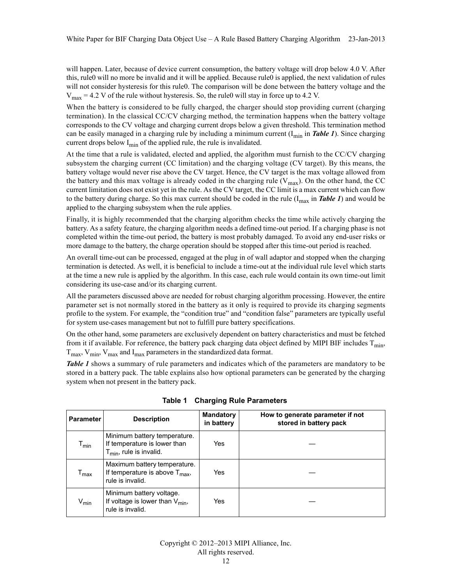will happen. Later, because of device current consumption, the battery voltage will drop below 4.0 V. After this, rule0 will no more be invalid and it will be applied. Because rule0 is applied, the next validation of rules will not consider hysteresis for this rule0. The comparison will be done between the battery voltage and the  $V_{\text{max}}$  = 4.2 V of the rule without hysteresis. So, the rule0 will stay in force up to 4.2 V.

When the battery is considered to be fully charged, the charger should stop providing current (charging termination). In the classical CC/CV charging method, the termination happens when the battery voltage corresponds to the CV voltage and charging current drops below a given threshold. This termination method can be easily managed in a charging rule by including a minimum current  $(I_{min}$  in *[Table 1](#page-11-0)*). Since charging current drops below  $I_{\text{min}}$  of the applied rule, the rule is invalidated.

At the time that a rule is validated, elected and applied, the algorithm must furnish to the CC/CV charging subsystem the charging current (CC limitation) and the charging voltage (CV target). By this means, the battery voltage would never rise above the CV target. Hence, the CV target is the max voltage allowed from the battery and this max voltage is already coded in the charging rule  $(V_{max})$ . On the other hand, the CC current limitation does not exist yet in the rule. As the CV target, the CC limit is a max current which can flow to the battery during charge. So this max current should be coded in the rule  $(I_{max}$  in **[Table 1](#page-11-0)**) and would be applied to the charging subsystem when the rule applies.

Finally, it is highly recommended that the charging algorithm checks the time while actively charging the battery. As a safety feature, the charging algorithm needs a defined time-out period. If a charging phase is not completed within the time-out period, the battery is most probably damaged. To avoid any end-user risks or more damage to the battery, the charge operation should be stopped after this time-out period is reached.

An overall time-out can be processed, engaged at the plug in of wall adaptor and stopped when the charging termination is detected. As well, it is beneficial to include a time-out at the individual rule level which starts at the time a new rule is applied by the algorithm. In this case, each rule would contain its own time-out limit considering its use-case and/or its charging current.

All the parameters discussed above are needed for robust charging algorithm processing. However, the entire parameter set is not normally stored in the battery as it only is required to provide its charging segments profile to the system. For example, the "condition true" and "condition false" parameters are typically useful for system use-cases management but not to fulfill pure battery specifications.

On the other hand, some parameters are exclusively dependent on battery characteristics and must be fetched from it if available. For reference, the battery pack charging data object defined by MIPI BIF includes  $T_{min}$ ,  $T_{\text{max}}$ ,  $V_{\text{min}}$ ,  $V_{\text{max}}$  and  $I_{\text{max}}$  parameters in the standardized data format.

*[Table 1](#page-11-0)* shows a summary of rule parameters and indicates which of the parameters are mandatory to be stored in a battery pack. The table explains also how optional parameters can be generated by the charging system when not present in the battery pack.

<span id="page-11-0"></span>

| <b>Parameter</b>            | <b>Description</b>                                                                             | <b>Mandatory</b><br>in battery | How to generate parameter if not<br>stored in battery pack |
|-----------------------------|------------------------------------------------------------------------------------------------|--------------------------------|------------------------------------------------------------|
| $\mathsf{T}_{\mathsf{min}}$ | Minimum battery temperature.<br>If temperature is lower than<br>$T_{min}$ , rule is invalid.   | Yes                            |                                                            |
| $\mathsf{T}_{\mathsf{max}}$ | Maximum battery temperature.<br>If temperature is above $T_{\text{max}}$ ,<br>rule is invalid. | Yes                            |                                                            |
| $V_{\text{min}}$            | Minimum battery voltage.<br>If voltage is lower than $V_{\text{min}}$ ,<br>rule is invalid.    | Yes                            |                                                            |

**Table 1 Charging Rule Parameters**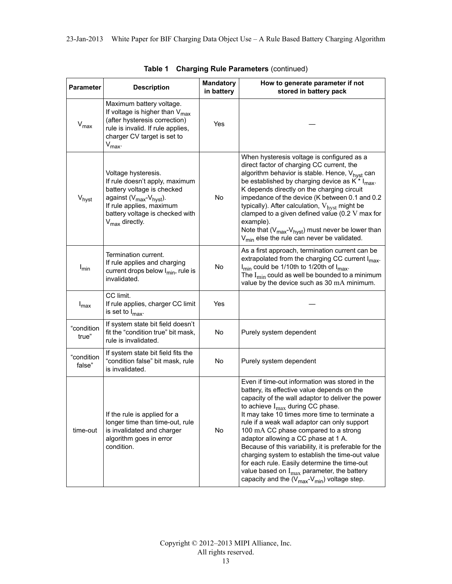| <b>Parameter</b>     | <b>Description</b>                                                                                                                                                                                                                    | <b>Mandatory</b><br>in battery | How to generate parameter if not<br>stored in battery pack                                                                                                                                                                                                                                                                                                                                                                                                                                                                                                                                                                                              |
|----------------------|---------------------------------------------------------------------------------------------------------------------------------------------------------------------------------------------------------------------------------------|--------------------------------|---------------------------------------------------------------------------------------------------------------------------------------------------------------------------------------------------------------------------------------------------------------------------------------------------------------------------------------------------------------------------------------------------------------------------------------------------------------------------------------------------------------------------------------------------------------------------------------------------------------------------------------------------------|
| $V_{\text{max}}$     | Maximum battery voltage.<br>If voltage is higher than $V_{\text{max}}$<br>(after hysteresis correction)<br>rule is invalid. If rule applies,<br>charger CV target is set to<br>$V_{\text{max}}$ .                                     | Yes                            |                                                                                                                                                                                                                                                                                                                                                                                                                                                                                                                                                                                                                                                         |
| $V_{\text{hyst}}$    | Voltage hysteresis.<br>If rule doesn't apply, maximum<br>battery voltage is checked<br>against ( $V_{\text{max}}$ - $V_{\text{hyst}}$ ).<br>If rule applies, maximum<br>battery voltage is checked with<br>$V_{\text{max}}$ directly. | No                             | When hysteresis voltage is configured as a<br>direct factor of charging CC current, the<br>algorithm behavior is stable. Hence, V <sub>hyst</sub> can<br>be established by charging device as $K^*$ I <sub>max</sub> .<br>K depends directly on the charging circuit<br>impedance of the device (K between 0.1 and 0.2<br>typically). After calculation, V <sub>hyst</sub> might be<br>clamped to a given defined value (0.2 V max for<br>example).<br>Note that $(V_{max}-V_{hyst})$ must never be lower than<br>$V_{\text{min}}$ else the rule can never be validated.                                                                                |
| $I_{\text{min}}$     | Termination current.<br>If rule applies and charging<br>current drops below I <sub>min</sub> , rule is<br>invalidated.                                                                                                                | No                             | As a first approach, termination current can be<br>extrapolated from the charging CC current I <sub>max</sub> .<br>I <sub>min</sub> could be 1/10th to 1/20th of I <sub>max</sub> .<br>The $I_{\text{min}}$ could as well be bounded to a minimum<br>value by the device such as 30 mA minimum.                                                                                                                                                                                                                                                                                                                                                         |
| $I_{\text{max}}$     | CC limit.<br>If rule applies, charger CC limit<br>is set to $I_{\text{max}}$ .                                                                                                                                                        | Yes                            |                                                                                                                                                                                                                                                                                                                                                                                                                                                                                                                                                                                                                                                         |
| "condition<br>true"  | If system state bit field doesn't<br>fit the "condition true" bit mask,<br>rule is invalidated.                                                                                                                                       | No                             | Purely system dependent                                                                                                                                                                                                                                                                                                                                                                                                                                                                                                                                                                                                                                 |
| "condition<br>false" | If system state bit field fits the<br>"condition false" bit mask, rule<br>is invalidated.                                                                                                                                             | No                             | Purely system dependent                                                                                                                                                                                                                                                                                                                                                                                                                                                                                                                                                                                                                                 |
| time-out             | If the rule is applied for a<br>longer time than time-out, rule<br>is invalidated and charger<br>algorithm goes in error<br>condition.                                                                                                | No                             | Even if time-out information was stored in the<br>battery, its effective value depends on the<br>capacity of the wall adaptor to deliver the power<br>to achieve $I_{max}$ during CC phase.<br>It may take 10 times more time to terminate a<br>rule if a weak wall adaptor can only support<br>100 mA CC phase compared to a strong<br>adaptor allowing a CC phase at 1 A.<br>Because of this variability, it is preferable for the<br>charging system to establish the time-out value<br>for each rule. Easily determine the time-out<br>value based on $I_{\text{max}}$ parameter, the battery<br>capacity and the $(V_{max}-V_{min})$ voltage step. |

|  |  |  | Table 1 Charging Rule Parameters (continued) |  |
|--|--|--|----------------------------------------------|--|
|--|--|--|----------------------------------------------|--|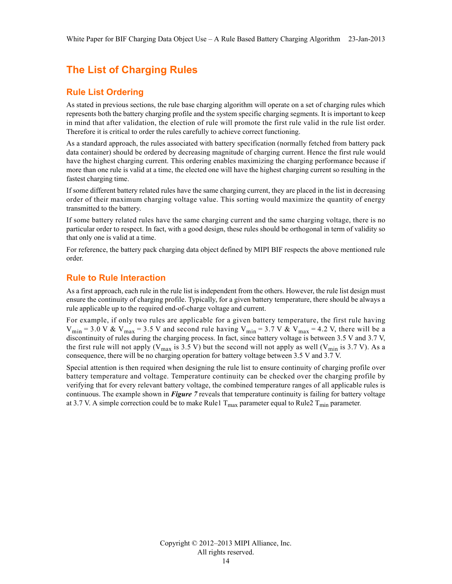## <span id="page-13-0"></span>**The List of Charging Rules**

#### <span id="page-13-1"></span>**Rule List Ordering**

As stated in previous sections, the rule base charging algorithm will operate on a set of charging rules which represents both the battery charging profile and the system specific charging segments. It is important to keep in mind that after validation, the election of rule will promote the first rule valid in the rule list order. Therefore it is critical to order the rules carefully to achieve correct functioning.

As a standard approach, the rules associated with battery specification (normally fetched from battery pack data container) should be ordered by decreasing magnitude of charging current. Hence the first rule would have the highest charging current. This ordering enables maximizing the charging performance because if more than one rule is valid at a time, the elected one will have the highest charging current so resulting in the fastest charging time.

If some different battery related rules have the same charging current, they are placed in the list in decreasing order of their maximum charging voltage value. This sorting would maximize the quantity of energy transmitted to the battery.

If some battery related rules have the same charging current and the same charging voltage, there is no particular order to respect. In fact, with a good design, these rules should be orthogonal in term of validity so that only one is valid at a time.

For reference, the battery pack charging data object defined by MIPI BIF respects the above mentioned rule order.

#### <span id="page-13-2"></span>**Rule to Rule Interaction**

As a first approach, each rule in the rule list is independent from the others. However, the rule list design must ensure the continuity of charging profile. Typically, for a given battery temperature, there should be always a rule applicable up to the required end-of-charge voltage and current.

For example, if only two rules are applicable for a given battery temperature, the first rule having  $V_{\text{min}}$  = 3.0 V &  $V_{\text{max}}$  = 3.5 V and second rule having  $V_{\text{min}}$  = 3.7 V &  $V_{\text{max}}$  = 4.2 V, there will be a discontinuity of rules during the charging process. In fact, since battery voltage is between 3.5 V and 3.7 V, the first rule will not apply ( $V_{\text{max}}$  is 3.5 V) but the second will not apply as well ( $V_{\text{min}}$  is 3.7 V). As a consequence, there will be no charging operation for battery voltage between 3.5 V and 3.7 V.

Special attention is then required when designing the rule list to ensure continuity of charging profile over battery temperature and voltage. Temperature continuity can be checked over the charging profile by verifying that for every relevant battery voltage, the combined temperature ranges of all applicable rules is continuous. The example shown in *[Figure 7](#page-14-0)* reveals that temperature continuity is failing for battery voltage at 3.7 V. A simple correction could be to make Rule1  $T_{max}$  parameter equal to Rule2  $T_{min}$  parameter.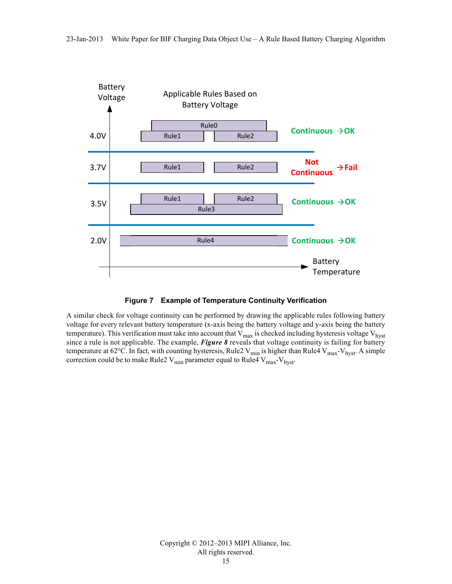

#### **Figure 7 Example of Temperature Continuity Verification**

<span id="page-14-0"></span>A similar check for voltage continuity can be performed by drawing the applicable rules following battery voltage for every relevant battery temperature (x-axis being the battery voltage and y-axis being the battery temperature). This verification must take into account that  $V_{max}$  is checked including hysteresis voltage  $V_{h,vst}$ since a rule is not applicable. The example, *[Figure 8](#page-15-1)* reveals that voltage continuity is failing for battery temperature at 62°C. In fact, with counting hysteresis, Rule2  $V_{min}$  is higher than Rule4  $V_{max}$ - $V_{hyst}$ . A simple correction could be to make Rule2  $V_{min}$  parameter equal to Rule4  $V_{max}$ - $V_{hyst}$ .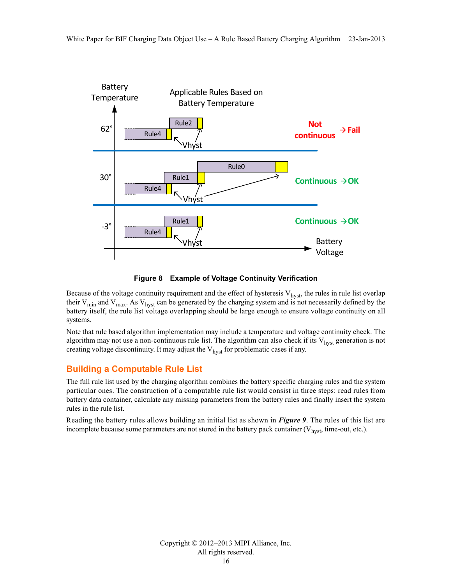

**Figure 8 Example of Voltage Continuity Verification**

<span id="page-15-1"></span>Because of the voltage continuity requirement and the effect of hysteresis  $V_{hyst}$ , the rules in rule list overlap their  $V_{min}$  and  $V_{max}$ . As  $V_{hyst}$  can be generated by the charging system and is not necessarily defined by the battery itself, the rule list voltage overlapping should be large enough to ensure voltage continuity on all systems.

Note that rule based algorithm implementation may include a temperature and voltage continuity check. The algorithm may not use a non-continuous rule list. The algorithm can also check if its  $V_{hyst}$  generation is not creating voltage discontinuity. It may adjust the  $V_{hyst}$  for problematic cases if any.

#### <span id="page-15-0"></span>**Building a Computable Rule List**

The full rule list used by the charging algorithm combines the battery specific charging rules and the system particular ones. The construction of a computable rule list would consist in three steps: read rules from battery data container, calculate any missing parameters from the battery rules and finally insert the system rules in the rule list.

Reading the battery rules allows building an initial list as shown in *[Figure 9](#page-16-0)*. The rules of this list are incomplete because some parameters are not stored in the battery pack container  $(V_{\text{hyst}})$ , time-out, etc.).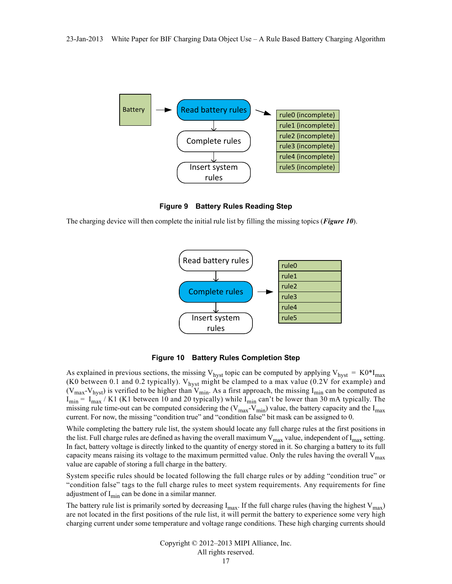

**Figure 9 Battery Rules Reading Step**

<span id="page-16-0"></span>The charging device will then complete the initial rule list by filling the missing topics (*[Figure 10](#page-16-1)*).



**Figure 10 Battery Rules Completion Step**

<span id="page-16-1"></span>As explained in previous sections, the missing V<sub>hyst</sub> topic can be computed by applying V<sub>hyst</sub> = K0\*I<sub>max</sub> (K0 between 0.1 and 0.2 typically).  $V_{hyst}$  might be clamped to a max value (0.2V for example) and  $(V_{\text{max}}-V_{\text{hyst}})$  is verified to be higher than  $V_{\text{min}}$ . As a first approach, the missing  $I_{\text{min}}$  can be computed as  $I_{\text{min}} = I_{\text{max}} / K1$  (K1 between 10 and 20 typically) while  $I_{\text{min}}$  can't be lower than 30 mA typically. The min  $\frac{m_{\text{max}}}{m}$  min  $\frac{m_{\text{max}}}{m}$  min  $\frac{m_{\text{max}}}{m}$  value, the battery capacity and the I<sub>max</sub> current. For now, the missing "condition true" and "condition false" bit mask can be assigned to 0.

While completing the battery rule list, the system should locate any full charge rules at the first positions in the list. Full charge rules are defined as having the overall maximum  $V_{max}$  value, independent of I<sub>max</sub> setting. In fact, battery voltage is directly linked to the quantity of energy stored in it. So charging a battery to its full capacity means raising its voltage to the maximum permitted value. Only the rules having the overall  $V_{\text{max}}$ value are capable of storing a full charge in the battery.

System specific rules should be located following the full charge rules or by adding "condition true" or "condition false" tags to the full charge rules to meet system requirements. Any requirements for fine adjustment of  $I_{\text{min}}$  can be done in a similar manner.

The battery rule list is primarily sorted by decreasing  $I_{max}$ . If the full charge rules (having the highest  $V_{max}$ ) are not located in the first positions of the rule list, it will permit the battery to experience some very high charging current under some temperature and voltage range conditions. These high charging currents should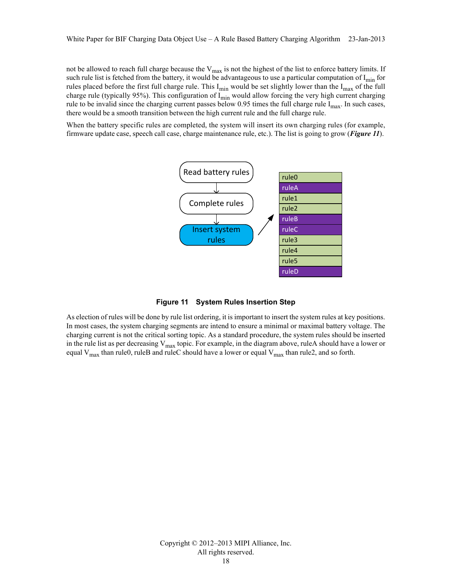not be allowed to reach full charge because the  $V_{max}$  is not the highest of the list to enforce battery limits. If such rule list is fetched from the battery, it would be advantageous to use a particular computation of  $I_{min}$  for rules placed before the first full charge rule. This I<sub>min</sub> would be set slightly lower than the I<sub>max</sub> of the full charge rule (typically 95%). This configuration of  $I_{\text{min}}$  would allow forcing the very high current charging rule to be invalid since the charging current passes below  $0.95$  times the full charge rule I<sub>max</sub>. In such cases, there would be a smooth transition between the high current rule and the full charge rule.

When the battery specific rules are completed, the system will insert its own charging rules (for example, firmware update case, speech call case, charge maintenance rule, etc.). The list is going to grow (*[Figure 11](#page-17-0)*).





<span id="page-17-0"></span>As election of rules will be done by rule list ordering, it is important to insert the system rules at key positions. In most cases, the system charging segments are intend to ensure a minimal or maximal battery voltage. The charging current is not the critical sorting topic. As a standard procedure, the system rules should be inserted in the rule list as per decreasing  $V_{max}$  topic. For example, in the diagram above, ruleA should have a lower or equal  $V_{\text{max}}$  than rule0, ruleB and ruleC should have a lower or equal  $V_{\text{max}}$  than rule2, and so forth.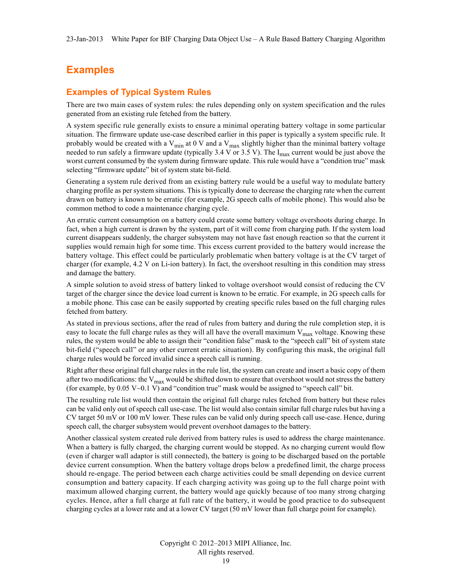## <span id="page-18-0"></span>**Examples**

#### <span id="page-18-1"></span>**Examples of Typical System Rules**

There are two main cases of system rules: the rules depending only on system specification and the rules generated from an existing rule fetched from the battery.

A system specific rule generally exists to ensure a minimal operating battery voltage in some particular situation. The firmware update use-case described earlier in this paper is typically a system specific rule. It probably would be created with a  $V_{min}$  at 0 V and a  $V_{max}$  slightly higher than the minimal battery voltage needed to run safely a firmware update (typically 3.4 V or 3.5 V). The  $I_{max}$  current would be just above the worst current consumed by the system during firmware update. This rule would have a "condition true" mask selecting "firmware update" bit of system state bit-field.

Generating a system rule derived from an existing battery rule would be a useful way to modulate battery charging profile as per system situations. This is typically done to decrease the charging rate when the current drawn on battery is known to be erratic (for example, 2G speech calls of mobile phone). This would also be common method to code a maintenance charging cycle.

An erratic current consumption on a battery could create some battery voltage overshoots during charge. In fact, when a high current is drawn by the system, part of it will come from charging path. If the system load current disappears suddenly, the charger subsystem may not have fast enough reaction so that the current it supplies would remain high for some time. This excess current provided to the battery would increase the battery voltage. This effect could be particularly problematic when battery voltage is at the CV target of charger (for example, 4.2 V on Li-ion battery). In fact, the overshoot resulting in this condition may stress and damage the battery.

A simple solution to avoid stress of battery linked to voltage overshoot would consist of reducing the CV target of the charger since the device load current is known to be erratic. For example, in 2G speech calls for a mobile phone. This case can be easily supported by creating specific rules based on the full charging rules fetched from battery.

As stated in previous sections, after the read of rules from battery and during the rule completion step, it is easy to locate the full charge rules as they will all have the overall maximum  $V_{max}$  voltage. Knowing these rules, the system would be able to assign their "condition false" mask to the "speech call" bit of system state bit-field ("speech call" or any other current erratic situation). By configuring this mask, the original full charge rules would be forced invalid since a speech call is running.

Right after these original full charge rules in the rule list, the system can create and insert a basic copy of them after two modifications: the  $V_{max}$  would be shifted down to ensure that overshoot would not stress the battery (for example, by  $0.05 \text{ V} \sim 0.1 \text{ V}$ ) and "condition true" mask would be assigned to "speech call" bit.

The resulting rule list would then contain the original full charge rules fetched from battery but these rules can be valid only out of speech call use-case. The list would also contain similar full charge rules but having a CV target 50 mV or 100 mV lower. These rules can be valid only during speech call use-case. Hence, during speech call, the charger subsystem would prevent overshoot damages to the battery.

Another classical system created rule derived from battery rules is used to address the charge maintenance. When a battery is fully charged, the charging current would be stopped. As no charging current would flow (even if charger wall adaptor is still connected), the battery is going to be discharged based on the portable device current consumption. When the battery voltage drops below a predefined limit, the charge process should re-engage. The period between each charge activities could be small depending on device current consumption and battery capacity. If each charging activity was going up to the full charge point with maximum allowed charging current, the battery would age quickly because of too many strong charging cycles. Hence, after a full charge at full rate of the battery, it would be good practice to do subsequent charging cycles at a lower rate and at a lower CV target (50 mV lower than full charge point for example).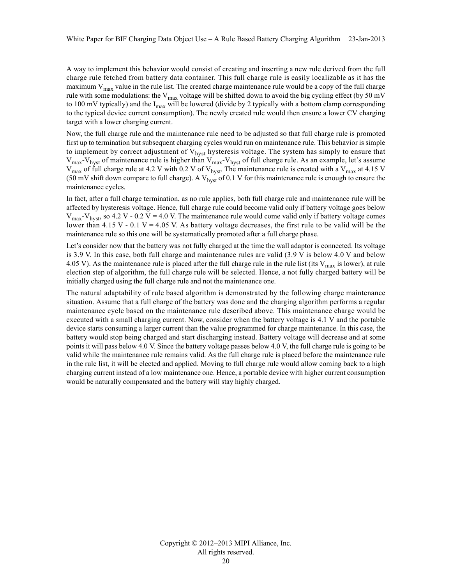A way to implement this behavior would consist of creating and inserting a new rule derived from the full charge rule fetched from battery data container. This full charge rule is easily localizable as it has the maximum  $V_{\text{max}}$  value in the rule list. The created charge maintenance rule would be a copy of the full charge rule with some modulations: the  $V_{max}$  voltage will be shifted down to avoid the big cycling effect (by 50 mV to 100 mV typically) and the  $I_{\text{max}}$  will be lowered (divide by 2 typically with a bottom clamp corresponding to the typical device current consumption). The newly created rule would then ensure a lower CV charging target with a lower charging current.

Now, the full charge rule and the maintenance rule need to be adjusted so that full charge rule is promoted first up to termination but subsequent charging cycles would run on maintenance rule. This behavior is simple to implement by correct adjustment of  $V_{hyst}$  hysteresis voltage. The system has simply to ensure that  $V_{\text{max}}-V_{\text{hyst}}$  of maintenance rule is higher than  $V_{\text{max}}-V_{\text{hyst}}$  of full charge rule. As an example, let's assume  $V_{\text{max}}$  of full charge rule at 4.2 V with 0.2 V of  $V_{\text{hyst}}$ . The maintenance rule is created with a  $V_{\text{max}}$  at 4.15 V (50 mV shift down compare to full charge). A  $V_{\text{hyst}}$  of 0.1 V for this maintenance rule is enough to ensure the maintenance cycles.

In fact, after a full charge termination, as no rule applies, both full charge rule and maintenance rule will be affected by hysteresis voltage. Hence, full charge rule could become valid only if battery voltage goes below  $V_{\text{max}}$ -V<sub>hyst</sub>, so 4.2 V - 0.2 V = 4.0 V. The maintenance rule would come valid only if battery voltage comes lower than 4.15 V - 0.1 V = 4.05 V. As battery voltage decreases, the first rule to be valid will be the maintenance rule so this one will be systematically promoted after a full charge phase.

Let's consider now that the battery was not fully charged at the time the wall adaptor is connected. Its voltage is 3.9 V. In this case, both full charge and maintenance rules are valid (3.9 V is below 4.0 V and below 4.05 V). As the maintenance rule is placed after the full charge rule in the rule list (its  $V_{\text{max}}$  is lower), at rule election step of algorithm, the full charge rule will be selected. Hence, a not fully charged battery will be initially charged using the full charge rule and not the maintenance one.

The natural adaptability of rule based algorithm is demonstrated by the following charge maintenance situation. Assume that a full charge of the battery was done and the charging algorithm performs a regular maintenance cycle based on the maintenance rule described above. This maintenance charge would be executed with a small charging current. Now, consider when the battery voltage is 4.1 V and the portable device starts consuming a larger current than the value programmed for charge maintenance. In this case, the battery would stop being charged and start discharging instead. Battery voltage will decrease and at some points it will pass below 4.0 V. Since the battery voltage passes below 4.0 V, the full charge rule is going to be valid while the maintenance rule remains valid. As the full charge rule is placed before the maintenance rule in the rule list, it will be elected and applied. Moving to full charge rule would allow coming back to a high charging current instead of a low maintenance one. Hence, a portable device with higher current consumption would be naturally compensated and the battery will stay highly charged.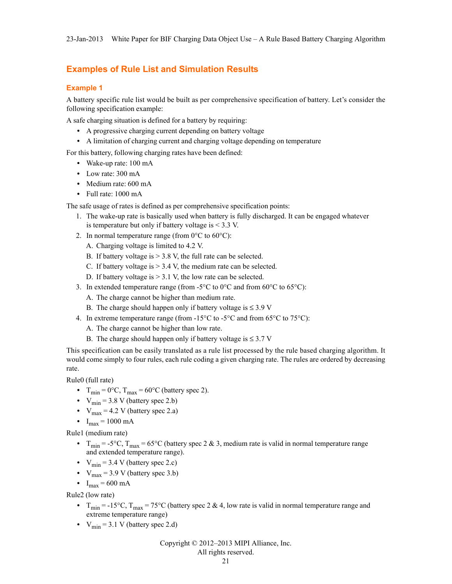#### <span id="page-20-0"></span>**Examples of Rule List and Simulation Results**

#### <span id="page-20-1"></span>**Example 1**

A battery specific rule list would be built as per comprehensive specification of battery. Let's consider the following specification example:

A safe charging situation is defined for a battery by requiring:

- **•** A progressive charging current depending on battery voltage
- **•** A limitation of charging current and charging voltage depending on temperature

For this battery, following charging rates have been defined:

- **•** Wake-up rate: 100 mA
- **•** Low rate: 300 mA
- **•** Medium rate: 600 mA
- **•** Full rate: 1000 mA

The safe usage of rates is defined as per comprehensive specification points:

- 1. The wake-up rate is basically used when battery is fully discharged. It can be engaged whatever is temperature but only if battery voltage is  $< 3.3$  V.
- 2. In normal temperature range (from  $0^{\circ}$ C to  $60^{\circ}$ C):
	- A. Charging voltage is limited to 4.2 V.
	- B. If battery voltage is  $> 3.8$  V, the full rate can be selected.
	- C. If battery voltage is  $> 3.4$  V, the medium rate can be selected.
	- D. If battery voltage is  $> 3.1$  V, the low rate can be selected.
- 3. In extended temperature range (from -5°C to 0°C and from 60°C to 65°C):
	- A. The charge cannot be higher than medium rate.
	- B. The charge should happen only if battery voltage is  $\leq$  3.9 V
- 4. In extreme temperature range (from -15 $^{\circ}$ C to -5 $^{\circ}$ C and from 65 $^{\circ}$ C to 75 $^{\circ}$ C):
	- A. The charge cannot be higher than low rate.
	- B. The charge should happen only if battery voltage is  $\leq 3.7$  V

This specification can be easily translated as a rule list processed by the rule based charging algorithm. It would come simply to four rules, each rule coding a given charging rate. The rules are ordered by decreasing rate.

Rule0 (full rate)

- $T_{\text{min}} = 0$ °C,  $T_{\text{max}} = 60$ °C (battery spec 2).
- $V_{\text{min}} = 3.8 \text{ V}$  (battery spec 2.b)
- $V_{\text{max}} = 4.2 \text{ V}$  (battery spec 2.a)
- $I_{max} = 1000 \text{ mA}$

Rule1 (medium rate)

- $T_{\text{min}} = -5^{\circ}\text{C}$ ,  $T_{\text{max}} = 65^{\circ}\text{C}$  (battery spec 2 & 3, medium rate is valid in normal temperature range and extended temperature range).
- $V_{\text{min}} = 3.4 \text{ V}$  (battery spec 2.c)
- $V_{\text{max}} = 3.9 \text{ V}$  (battery spec 3.b)
- $I_{\text{max}} = 600 \text{ mA}$

Rule2 (low rate)

- $T_{\text{min}} = -15^{\circ}\text{C}$ ,  $T_{\text{max}} = 75^{\circ}\text{C}$  (battery spec 2 & 4, low rate is valid in normal temperature range and extreme temperature range)
- $V_{\text{min}} = 3.1 \text{ V}$  (battery spec 2.d)

Copyright © 2012–2013 MIPI Alliance, Inc.

#### All rights reserved.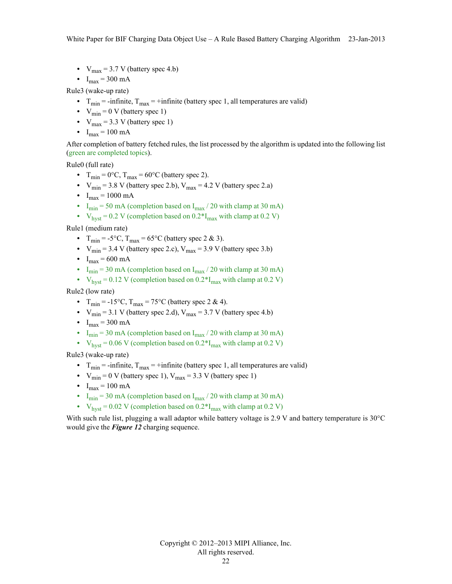- $V_{\text{max}} = 3.7 \text{ V}$  (battery spec 4.b)
- $I_{\text{max}} = 300 \text{ mA}$

Rule3 (wake-up rate)

- $T_{\text{min}}$  = -infinite,  $T_{\text{max}}$  = +infinite (battery spec 1, all temperatures are valid)
- $V_{\text{min}} = 0$  V (battery spec 1)
- $V_{\text{max}} = 3.3$  V (battery spec 1)
- $I_{max} = 100 \text{ mA}$

After completion of battery fetched rules, the list processed by the algorithm is updated into the following list (green are completed topics).

Rule0 (full rate)

- $T_{\text{min}} = 0$ °C,  $T_{\text{max}} = 60$ °C (battery spec 2).
- $V_{\text{min}} = 3.8 \text{ V}$  (battery spec 2.b),  $V_{\text{max}} = 4.2 \text{ V}$  (battery spec 2.a)
- $I_{max} = 1000 \text{ mA}$
- I<sub>min</sub> = 50 mA (completion based on  $I_{\text{max}}$  / 20 with clamp at 30 mA)
- $V_{\text{hvst}} = 0.2 \text{ V}$  (completion based on  $0.2 \text{ *I}_{\text{max}}$  with clamp at  $0.2 \text{ V}$ )

Rule1 (medium rate)

- $T_{\text{min}} = -5^{\circ}\text{C}$ ,  $T_{\text{max}} = 65^{\circ}\text{C}$  (battery spec 2 & 3).
- $V_{\text{min}} = 3.4$  V (battery spec 2.c),  $V_{\text{max}} = 3.9$  V (battery spec 3.b)
- $I_{\text{max}} = 600 \text{ mA}$
- I<sub>min</sub> = 30 mA (completion based on I<sub>max</sub> / 20 with clamp at 30 mA)
- $V_{\text{hyst}} = 0.12 \text{ V}$  (completion based on  $0.2 \text{°I}_{\text{max}}$  with clamp at 0.2 V)

Rule2 (low rate)

- $T_{\text{min}} = -15^{\circ}\text{C}$ ,  $T_{\text{max}} = 75^{\circ}\text{C}$  (battery spec 2 & 4).
- $V_{\text{min}} = 3.1$  V (battery spec 2.d),  $V_{\text{max}} = 3.7$  V (battery spec 4.b)
- $I_{\text{max}} = 300 \text{ mA}$
- I<sub>min</sub> = 30 mA (completion based on  $I_{\text{max}}$  / 20 with clamp at 30 mA)
- $V_{\text{hvst}} = 0.06 \text{ V}$  (completion based on  $0.2 \text{ *I}_{\text{max}}$  with clamp at  $0.2 \text{ V}$ )

Rule3 (wake-up rate)

- $T_{\text{min}}$  = -infinite,  $T_{\text{max}}$  = +infinite (battery spec 1, all temperatures are valid)
- $V_{\text{min}} = 0$  V (battery spec 1),  $V_{\text{max}} = 3.3$  V (battery spec 1)
- $I_{\text{max}} = 100 \text{ mA}$
- I<sub>min</sub> = 30 mA (completion based on I<sub>max</sub> / 20 with clamp at 30 mA)
- $V_{\text{hyst}} = 0.02 \text{ V}$  (completion based on  $0.2 \text{°I}_{\text{max}}$  with clamp at 0.2 V)

With such rule list, plugging a wall adaptor while battery voltage is 2.9 V and battery temperature is 30°C would give the *[Figure 12](#page-22-0)* charging sequence.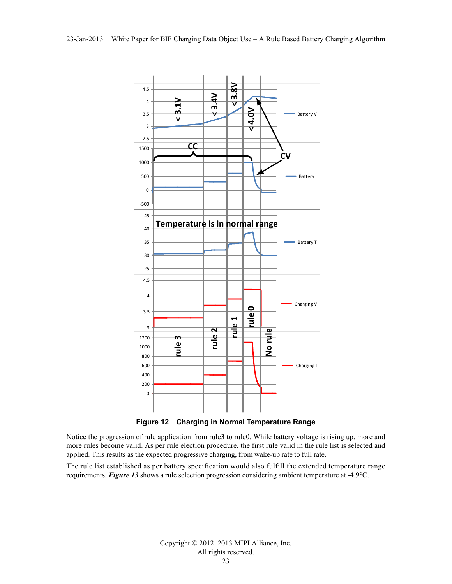

**Figure 12 Charging in Normal Temperature Range**

<span id="page-22-0"></span>Notice the progression of rule application from rule3 to rule0. While battery voltage is rising up, more and more rules become valid. As per rule election procedure, the first rule valid in the rule list is selected and applied. This results as the expected progressive charging, from wake-up rate to full rate.

The rule list established as per battery specification would also fulfill the extended temperature range requirements. *[Figure 13](#page-23-0)* shows a rule selection progression considering ambient temperature at -4.9°C.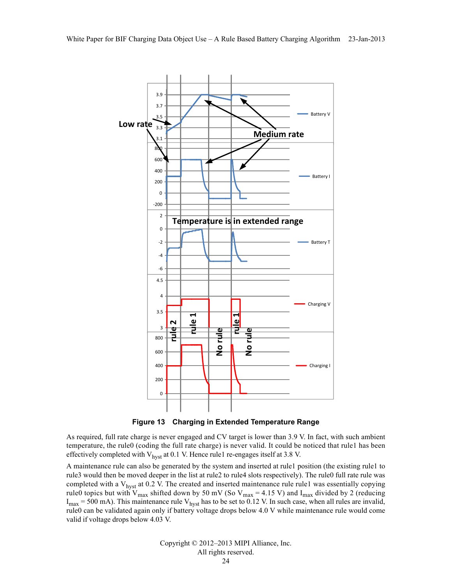

**Figure 13 Charging in Extended Temperature Range**

<span id="page-23-0"></span>As required, full rate charge is never engaged and CV target is lower than 3.9 V. In fact, with such ambient temperature, the rule0 (coding the full rate charge) is never valid. It could be noticed that rule1 has been effectively completed with  $V_{hyst}$  at 0.1 V. Hence rule1 re-engages itself at 3.8 V.

A maintenance rule can also be generated by the system and inserted at rule1 position (the existing rule1 to rule3 would then be moved deeper in the list at rule2 to rule4 slots respectively). The rule0 full rate rule was completed with a  $V_{\text{hvst}}$  at 0.2 V. The created and inserted maintenance rule rule1 was essentially copying rule0 topics but with  $V_{\text{max}}$  shifted down by 50 mV (So  $V_{\text{max}} = 4.15$  V) and I<sub>max</sub> divided by 2 (reducing  $I_{\text{max}}$  = 500 mA). This maintenance rule  $V_{\text{hyst}}$  has to be set to 0.12 V. In such case, when all rules are invalid, rule0 can be validated again only if battery voltage drops below 4.0 V while maintenance rule would come valid if voltage drops below 4.03 V.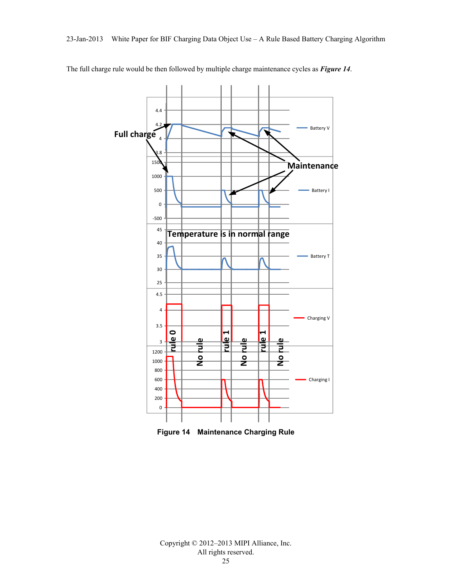

The full charge rule would be then followed by multiple charge maintenance cycles as *[Figure 14](#page-24-0)*.

<span id="page-24-0"></span>**Figure 14 Maintenance Charging Rule**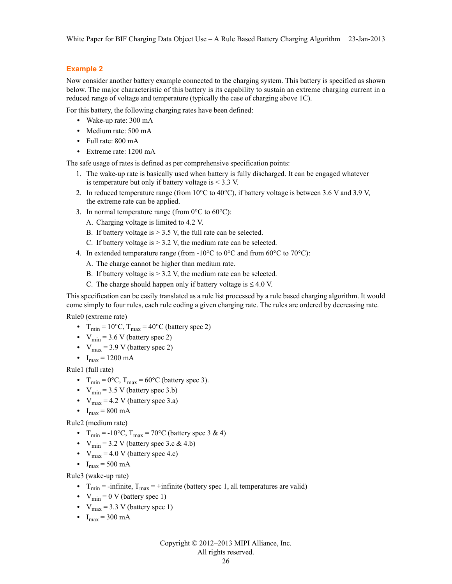#### <span id="page-25-0"></span>**Example 2**

Now consider another battery example connected to the charging system. This battery is specified as shown below. The major characteristic of this battery is its capability to sustain an extreme charging current in a reduced range of voltage and temperature (typically the case of charging above 1C).

For this battery, the following charging rates have been defined:

- **•** Wake-up rate: 300 mA
- **•** Medium rate: 500 mA
- **•** Full rate: 800 mA
- **•** Extreme rate: 1200 mA

The safe usage of rates is defined as per comprehensive specification points:

- 1. The wake-up rate is basically used when battery is fully discharged. It can be engaged whatever is temperature but only if battery voltage is < 3.3 V.
- 2. In reduced temperature range (from  $10^{\circ}$ C to  $40^{\circ}$ C), if battery voltage is between 3.6 V and 3.9 V, the extreme rate can be applied.
- 3. In normal temperature range (from  $0^{\circ}$ C to  $60^{\circ}$ C):
	- A. Charging voltage is limited to 4.2 V.
	- B. If battery voltage is  $> 3.5$  V, the full rate can be selected.
	- C. If battery voltage is  $> 3.2$  V, the medium rate can be selected.
- 4. In extended temperature range (from -10 $\degree$ C to 0 $\degree$ C and from 60 $\degree$ C to 70 $\degree$ C):
	- A. The charge cannot be higher than medium rate.
	- B. If battery voltage is  $> 3.2$  V, the medium rate can be selected.
	- C. The charge should happen only if battery voltage is  $\leq 4.0$  V.

This specification can be easily translated as a rule list processed by a rule based charging algorithm. It would come simply to four rules, each rule coding a given charging rate. The rules are ordered by decreasing rate.

Rule0 (extreme rate)

- $T_{\text{min}} = 10^{\circ}\text{C}$ ,  $T_{\text{max}} = 40^{\circ}\text{C}$  (battery spec 2)
- $V_{\text{min}} = 3.6 \text{ V}$  (battery spec 2)
- $V_{\text{max}}$  = 3.9 V (battery spec 2)
- $I_{\text{max}} = 1200 \text{ mA}$

Rule1 (full rate)

- $T_{\text{min}} = 0$ °C,  $T_{\text{max}} = 60$ °C (battery spec 3).
- $V_{\text{min}} = 3.5 \text{ V}$  (battery spec 3.b)
- $V_{\text{max}} = 4.2 \text{ V}$  (battery spec 3.a)
- $I_{\text{max}} = 800 \text{ mA}$

Rule2 (medium rate)

- $T_{\text{min}} = -10^{\circ}\text{C}$ ,  $T_{\text{max}} = 70^{\circ}\text{C}$  (battery spec 3 & 4)
- $V_{\text{min}} = 3.2 \text{ V}$  (battery spec 3.c & 4.b)
- $V_{\text{max}} = 4.0 \text{ V}$  (battery spec 4.c)
- $I_{\text{max}} = 500 \text{ mA}$

Rule3 (wake-up rate)

- $T_{\text{min}}$  = -infinite,  $T_{\text{max}}$  = +infinite (battery spec 1, all temperatures are valid)
- $V_{\text{min}} = 0$  V (battery spec 1)
- $V_{\text{max}} = 3.3$  V (battery spec 1)
- $I_{\text{max}} = 300 \text{ mA}$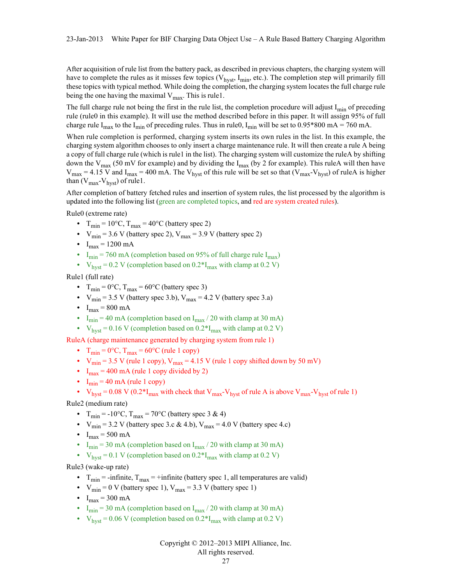After acquisition of rule list from the battery pack, as described in previous chapters, the charging system will have to complete the rules as it misses few topics ( $V_{\text{hvst}}$ ,  $I_{\text{min}}$ , etc.). The completion step will primarily fill these topics with typical method. While doing the completion, the charging system locates the full charge rule being the one having the maximal  $V_{\text{max}}$ . This is rule1.

The full charge rule not being the first in the rule list, the completion procedure will adjust  $I_{min}$  of preceding rule (rule0 in this example). It will use the method described before in this paper. It will assign 95% of full charge rule I<sub>max</sub> to the I<sub>min</sub> of preceding rules. Thus in rule0, I<sub>min</sub> will be set to 0.95\*800 mA = 760 mA.

When rule completion is performed, charging system inserts its own rules in the list. In this example, the charging system algorithm chooses to only insert a charge maintenance rule. It will then create a rule A being a copy of full charge rule (which is rule1 in the list). The charging system will customize the ruleA by shifting down the V<sub>max</sub> (50 mV for example) and by dividing the I<sub>max</sub> (by 2 for example). This ruleA will then have  $V_{\text{max}} = 4.15$  V and I<sub>max</sub> = 400 mA. The V<sub>hyst</sub> of this rule will be set so that (V<sub>max</sub>-V<sub>hyst</sub>) of ruleA is higher than  $(V_{max}-V_{hyst})$  of rule1.

After completion of battery fetched rules and insertion of system rules, the list processed by the algorithm is updated into the following list (green are completed topics, and red are system created rules).

Rule0 (extreme rate)

- $T_{\text{min}} = 10^{\circ}$ C,  $T_{\text{max}} = 40^{\circ}$ C (battery spec 2)
- $V_{\text{min}}$  = 3.6 V (battery spec 2),  $V_{\text{max}}$  = 3.9 V (battery spec 2)
- $I_{\text{max}} = 1200 \text{ mA}$
- I<sub>min</sub> = 760 mA (completion based on 95% of full charge rule I<sub>max</sub>)
- $V_{\text{hvst}} = 0.2 \text{ V}$  (completion based on  $0.2 \text{ *I}_{\text{max}}$  with clamp at 0.2 V)

Rule1 (full rate)

- $T_{\text{min}} = 0$ °C,  $T_{\text{max}} = 60$ °C (battery spec 3)
- $V_{\text{min}} = 3.5$  V (battery spec 3.b),  $V_{\text{max}} = 4.2$  V (battery spec 3.a)
- $I_{max} = 800 \text{ mA}$
- I<sub>min</sub> = 40 mA (completion based on  $I_{\text{max}}$  / 20 with clamp at 30 mA)
- $V_{\text{hyst}} = 0.16 \text{ V}$  (completion based on  $0.2 \text{ *I}_{\text{max}}$  with clamp at 0.2 V)

RuleA (charge maintenance generated by charging system from rule 1)

- $T_{\text{min}} = 0$ °C,  $T_{\text{max}} = 60$ °C (rule 1 copy)
- $V_{\text{min}} = 3.5$  V (rule 1 copy),  $V_{\text{max}} = 4.15$  V (rule 1 copy shifted down by 50 mV)
- $I_{\text{max}} = 400 \text{ mA}$  (rule 1 copy divided by 2)
- $I_{\text{min}} = 40 \text{ mA (rule 1 copy)}$
- $V_{hyst} = 0.08 \text{ V } (0.2 \text{ *} I_{max} \text{ with check that } V_{max} V_{hyst} \text{ of rule A is above } V_{max} V_{hyst} \text{ of rule 1})$

Rule2 (medium rate)

- $T_{\text{min}} = -10^{\circ}\text{C}$ ,  $T_{\text{max}} = 70^{\circ}\text{C}$  (battery spec 3 & 4)
- $V_{\text{min}} = 3.2 \text{ V}$  (battery spec 3.c & 4.b),  $V_{\text{max}} = 4.0 \text{ V}$  (battery spec 4.c)
- $I_{\text{max}} = 500 \text{ mA}$
- I<sub>min</sub> = 30 mA (completion based on I<sub>max</sub> / 20 with clamp at 30 mA)
- $V_{\text{hyst}} = 0.1 \text{ V}$  (completion based on  $0.2 \text{ m/s}$ ) with clamp at 0.2 V)

Rule3 (wake-up rate)

- $T_{\text{min}}$  = -infinite,  $T_{\text{max}}$  = +infinite (battery spec 1, all temperatures are valid)
- $V_{\text{min}} = 0$  V (battery spec 1),  $V_{\text{max}} = 3.3$  V (battery spec 1)
- $I_{\text{max}} = 300 \text{ mA}$
- I<sub>min</sub> = 30 mA (completion based on I<sub>max</sub> / 20 with clamp at 30 mA)
- $V_{\text{hyst}}$  = 0.06 V (completion based on 0.2<sup>\*</sup>I<sub>max</sub> with clamp at 0.2 V)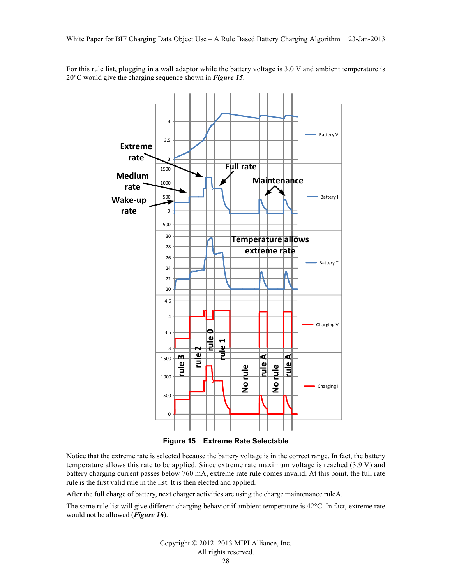For this rule list, plugging in a wall adaptor while the battery voltage is 3.0 V and ambient temperature is 20°C would give the charging sequence shown in *[Figure 15](#page-27-0)*.



**Figure 15 Extreme Rate Selectable**

<span id="page-27-0"></span>Notice that the extreme rate is selected because the battery voltage is in the correct range. In fact, the battery temperature allows this rate to be applied. Since extreme rate maximum voltage is reached (3.9 V) and battery charging current passes below 760 mA, extreme rate rule comes invalid. At this point, the full rate rule is the first valid rule in the list. It is then elected and applied.

After the full charge of battery, next charger activities are using the charge maintenance ruleA.

The same rule list will give different charging behavior if ambient temperature is 42°C. In fact, extreme rate would not be allowed (*[Figure 16](#page-28-0)*).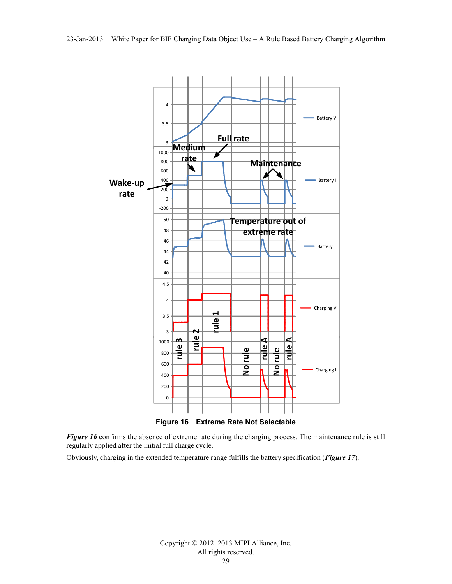

<span id="page-28-0"></span>*[Figure 16](#page-28-0)* confirms the absence of extreme rate during the charging process. The maintenance rule is still regularly applied after the initial full charge cycle.

Obviously, charging in the extended temperature range fulfills the battery specification (*[Figure 17](#page-29-0)*).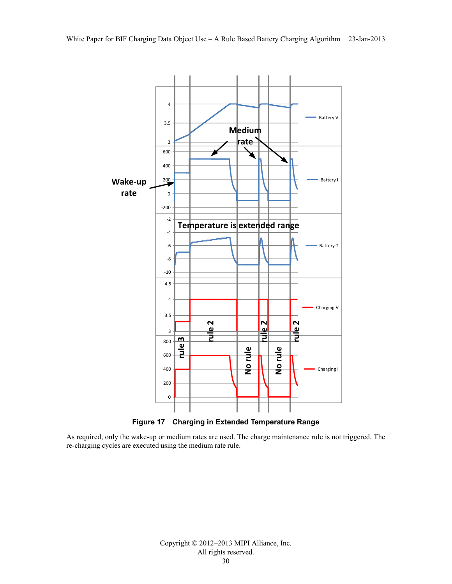

**Figure 17 Charging in Extended Temperature Range**

<span id="page-29-0"></span>As required, only the wake-up or medium rates are used. The charge maintenance rule is not triggered. The re-charging cycles are executed using the medium rate rule.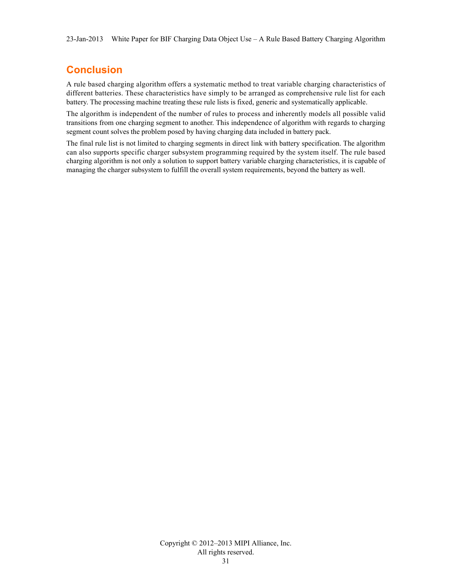## <span id="page-30-0"></span>**Conclusion**

A rule based charging algorithm offers a systematic method to treat variable charging characteristics of different batteries. These characteristics have simply to be arranged as comprehensive rule list for each battery. The processing machine treating these rule lists is fixed, generic and systematically applicable.

The algorithm is independent of the number of rules to process and inherently models all possible valid transitions from one charging segment to another. This independence of algorithm with regards to charging segment count solves the problem posed by having charging data included in battery pack.

The final rule list is not limited to charging segments in direct link with battery specification. The algorithm can also supports specific charger subsystem programming required by the system itself. The rule based charging algorithm is not only a solution to support battery variable charging characteristics, it is capable of managing the charger subsystem to fulfill the overall system requirements, beyond the battery as well.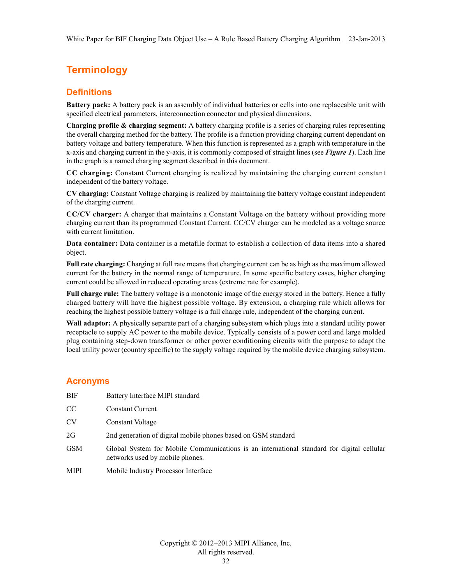## <span id="page-31-0"></span>**Terminology**

#### <span id="page-31-1"></span>**Definitions**

**Battery pack:** A battery pack is an assembly of individual batteries or cells into one replaceable unit with specified electrical parameters, interconnection connector and physical dimensions.

**Charging profile & charging segment:** A battery charging profile is a series of charging rules representing the overall charging method for the battery. The profile is a function providing charging current dependant on battery voltage and battery temperature. When this function is represented as a graph with temperature in the x-axis and charging current in the y-axis, it is commonly composed of straight lines (see *[Figure 1](#page-3-2)*). Each line in the graph is a named charging segment described in this document.

**CC charging:** Constant Current charging is realized by maintaining the charging current constant independent of the battery voltage.

**CV charging:** Constant Voltage charging is realized by maintaining the battery voltage constant independent of the charging current.

**CC/CV charger:** A charger that maintains a Constant Voltage on the battery without providing more charging current than its programmed Constant Current. CC/CV charger can be modeled as a voltage source with current limitation.

**Data container:** Data container is a metafile format to establish a collection of data items into a shared object.

**Full rate charging:** Charging at full rate means that charging current can be as high as the maximum allowed current for the battery in the normal range of temperature. In some specific battery cases, higher charging current could be allowed in reduced operating areas (extreme rate for example).

**Full charge rule:** The battery voltage is a monotonic image of the energy stored in the battery. Hence a fully charged battery will have the highest possible voltage. By extension, a charging rule which allows for reaching the highest possible battery voltage is a full charge rule, independent of the charging current.

**Wall adaptor:** A physically separate part of a charging subsystem which plugs into a standard utility power receptacle to supply AC power to the mobile device. Typically consists of a power cord and large molded plug containing step-down transformer or other power conditioning circuits with the purpose to adapt the local utility power (country specific) to the supply voltage required by the mobile device charging subsystem.

#### <span id="page-31-2"></span>**Acronyms**

| <b>BIF</b>  | Battery Interface MIPI standard                                                                                              |
|-------------|------------------------------------------------------------------------------------------------------------------------------|
| CC          | <b>Constant Current</b>                                                                                                      |
| <b>CV</b>   | Constant Voltage                                                                                                             |
| 2G          | 2nd generation of digital mobile phones based on GSM standard                                                                |
| <b>GSM</b>  | Global System for Mobile Communications is an international standard for digital cellular<br>networks used by mobile phones. |
| <b>MIPI</b> | Mobile Industry Processor Interface                                                                                          |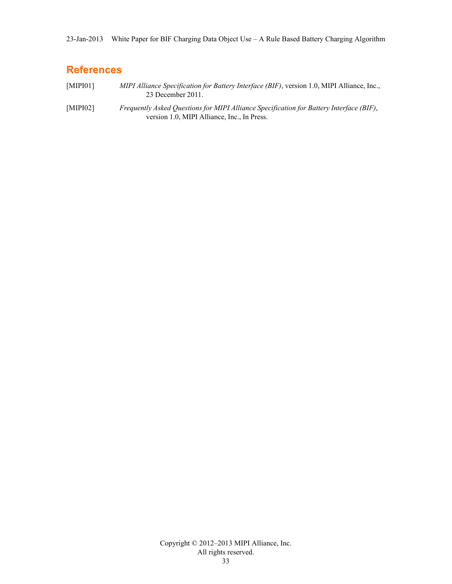### <span id="page-32-0"></span>**References**

<span id="page-32-1"></span>[MIPI01] *MIPI Alliance Specification for Battery Interface (BIF)*, version 1.0, MIPI Alliance, Inc., 23 December 2011.

[MIPI02] *Frequently Asked Questions for MIPI Alliance Specification for Battery Interface (BIF)*, version 1.0, MIPI Alliance, Inc., In Press.